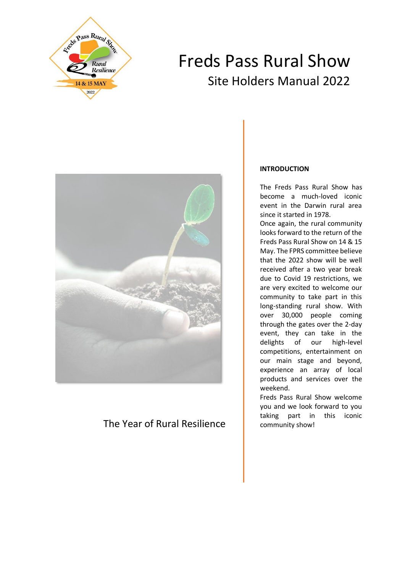

# Freds Pass Rural Show Site Holders Manual 2022



# The Year of Rural Resilience

## **INTRODUCTION**

The Freds Pass Rural Show has become a much-loved iconic event in the Darwin rural area since it started in 1978.

Once again, the rural community looks forward to the return of the Freds Pass Rural Show on 14 & 15 May. The FPRS committee believe that the 2022 show will be well received after a two year break due to Covid 19 restrictions, we are very excited to welcome our community to take part in this long-standing rural show. With over 30,000 people coming through the gates over the 2-day event, they can take in the delights of our high-level competitions, entertainment on our main stage and beyond, experience an array of local products and services over the weekend.

Freds Pass Rural Show welcome you and we look forward to you taking part in this iconic community show!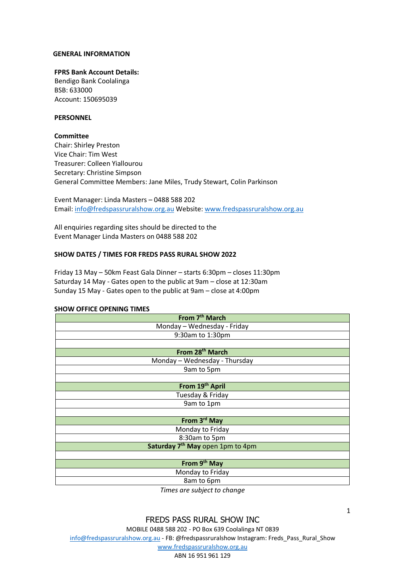#### **GENERAL INFORMATION**

#### **FPRS Bank Account Details:**

Bendigo Bank Coolalinga BSB: 633000 Account: 150695039

#### **PERSONNEL**

#### **Committee**

Chair: Shirley Preston Vice Chair: Tim West Treasurer: Colleen Yiallourou Secretary: Christine Simpson General Committee Members: Jane Miles, Trudy Stewart, Colin Parkinson

Event Manager: Linda Masters – 0488 588 202 Email: [info@fredspassruralshow.org.au](mailto:info@fredspassruralshow.org.au) Website: [www.fredspassruralshow.org.au](http://www.fredspassruralshow.org.au/)

All enquiries regarding sites should be directed to the Event Manager Linda Masters on 0488 588 202

#### **SHOW DATES / TIMES FOR FREDS PASS RURAL SHOW 2022**

Friday 13 May – 50km Feast Gala Dinner – starts 6:30pm – closes 11:30pm Saturday 14 May - Gates open to the public at 9am – close at 12:30am Sunday 15 May - Gates open to the public at 9am – close at 4:00pm

#### **SHOW OFFICE OPENING TIMES**

| From 7 <sup>th</sup> March                   |  |  |  |  |
|----------------------------------------------|--|--|--|--|
| Monday - Wednesday - Friday                  |  |  |  |  |
| 9:30am to 1:30pm                             |  |  |  |  |
|                                              |  |  |  |  |
| From 28 <sup>th</sup> March                  |  |  |  |  |
| Monday - Wednesday - Thursday                |  |  |  |  |
| 9am to 5pm                                   |  |  |  |  |
|                                              |  |  |  |  |
| From 19th April                              |  |  |  |  |
| Tuesday & Friday                             |  |  |  |  |
| 9am to 1pm                                   |  |  |  |  |
|                                              |  |  |  |  |
| From 3 <sup>rd</sup> May                     |  |  |  |  |
| Monday to Friday                             |  |  |  |  |
| 8:30am to 5pm                                |  |  |  |  |
| Saturday 7 <sup>th</sup> May open 1pm to 4pm |  |  |  |  |
|                                              |  |  |  |  |
| From 9 <sup>th</sup> May                     |  |  |  |  |
| Monday to Friday                             |  |  |  |  |
| 8am to 6pm                                   |  |  |  |  |
| 大きい ファー・ファー・エヌ しょうしょう しんし                    |  |  |  |  |

*Times are subject to change*

1

ABN 16 951 961 129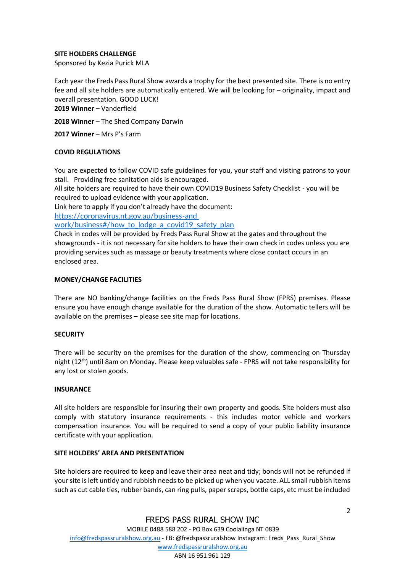## **SITE HOLDERS CHALLENGE**

Sponsored by Kezia Purick MLA

Each year the Freds Pass Rural Show awards a trophy for the best presented site. There is no entry fee and all site holders are automatically entered. We will be looking for – originality, impact and overall presentation. GOOD LUCK!

**2019 Winner –** Vanderfield

**2018 Winner** – The Shed Company Darwin

**2017 Winner** – Mrs P's Farm

#### **COVID REGULATIONS**

You are expected to follow COVID safe guidelines for you, your staff and visiting patrons to your stall. Providing free sanitation aids is encouraged.

All site holders are required to have their own COVID19 Business Safety Checklist - you will be required to upload evidence with your application.

Link here to apply if you don't already have the document:

[https://coronavirus.nt.gov.au/business-and](https://coronavirus.nt.gov.au/business-and%20work/business#/how_to_lodge_a_covid19_safety_plan) 

work/business#/how to lodge a covid19 safety plan

Check in codes will be provided by Freds Pass Rural Show at the gates and throughout the showgrounds - it is not necessary for site holders to have their own check in codes unless you are providing services such as massage or beauty treatments where close contact occurs in an enclosed area.

#### **MONEY/CHANGE FACILITIES**

There are NO banking/change facilities on the Freds Pass Rural Show (FPRS) premises. Please ensure you have enough change available for the duration of the show. Automatic tellers will be available on the premises – please see site map for locations.

#### **SECURITY**

There will be security on the premises for the duration of the show, commencing on Thursday night (12th) until 8am on Monday. Please keep valuables safe - FPRS will not take responsibility for any lost or stolen goods.

#### **INSURANCE**

All site holders are responsible for insuring their own property and goods. Site holders must also comply with statutory insurance requirements - this includes motor vehicle and workers compensation insurance. You will be required to send a copy of your public liability insurance certificate with your application.

## **SITE HOLDERS' AREA AND PRESENTATION**

Site holders are required to keep and leave their area neat and tidy; bonds will not be refunded if your site is left untidy and rubbish needs to be picked up when you vacate. ALL small rubbish items such as cut cable ties, rubber bands, can ring pulls, paper scraps, bottle caps, etc must be included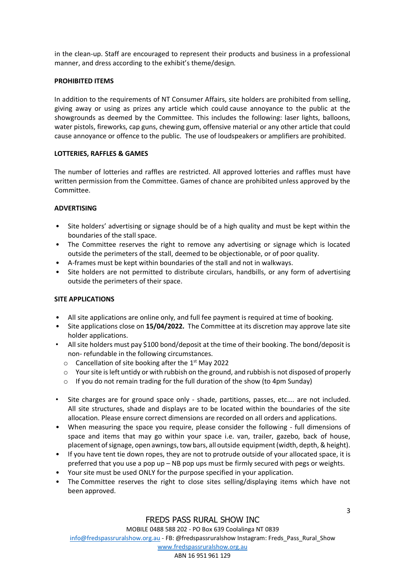in the clean-up. Staff are encouraged to represent their products and business in a professional manner, and dress according to the exhibit's theme/design.

## **PROHIBITED ITEMS**

In addition to the requirements of NT Consumer Affairs, site holders are prohibited from selling, giving away or using as prizes any article which could cause annoyance to the public at the showgrounds as deemed by the Committee. This includes the following: laser lights, balloons, water pistols, fireworks, cap guns, chewing gum, offensive material or any other article that could cause annoyance or offence to the public. The use of loudspeakers or amplifiers are prohibited.

## **LOTTERIES, RAFFLES & GAMES**

The number of lotteries and raffles are restricted. All approved lotteries and raffles must have written permission from the Committee. Games of chance are prohibited unless approved by the Committee.

## **ADVERTISING**

- Site holders' advertising or signage should be of a high quality and must be kept within the boundaries of the stall space.
- The Committee reserves the right to remove any advertising or signage which is located outside the perimeters of the stall, deemed to be objectionable, or of poor quality.
- A-frames must be kept within boundaries of the stall and not in walkways.
- Site holders are not permitted to distribute circulars, handbills, or any form of advertising outside the perimeters of their space.

## **SITE APPLICATIONS**

- All site applications are online only, and full fee payment is required at time of booking.
- Site applications close on **15/04/2022.** The Committee at its discretion may approve late site holder applications.
- All site holders must pay \$100 bond/deposit at the time of their booking. The bond/deposit is non- refundable in the following circumstances.
	- $\circ$  Cancellation of site booking after the 1st May 2022
	- $\circ$  Your site is left untidy or with rubbish on the ground, and rubbish is not disposed of properly
	- $\circ$  If you do not remain trading for the full duration of the show (to 4pm Sunday)
- Site charges are for ground space only shade, partitions, passes, etc…. are not included. All site structures, shade and displays are to be located within the boundaries of the site allocation. Please ensure correct dimensions are recorded on all orders and applications.
- When measuring the space you require, please consider the following full dimensions of space and items that may go within your space i.e. van, trailer, gazebo, back of house, placement of signage, open awnings, tow bars, all outside equipment (width, depth, & height).
- If you have tent tie down ropes, they are not to protrude outside of your allocated space, it is preferred that you use a pop up – NB pop ups must be firmly secured with pegs or weights.
- Your site must be used ONLY for the purpose specified in your application.
- The Committee reserves the right to close sites selling/displaying items which have not been approved.

## FREDS PASS RURAL SHOW INC

3

MOBILE 0488 588 202 - PO Box 639 Coolalinga NT 0839

[info@fredspassruralshow.org.au](mailto:info@fredspassruralshow.org.au) - FB: @fredspassruralshow Instagram: Freds\_Pass\_Rural\_Show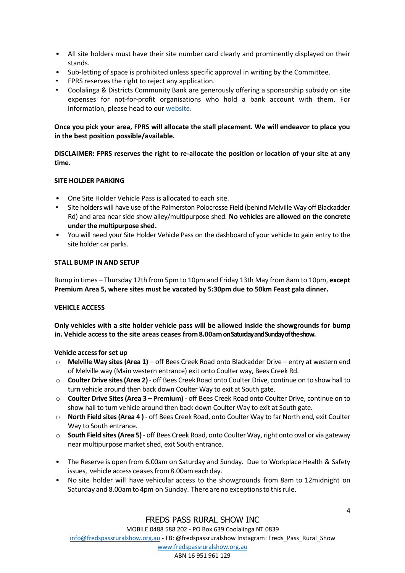- All site holders must have their site number card clearly and prominently displayed on their stands.
- Sub-letting of space is prohibited unless specific approval in writing by the Committee.
- FPRS reserves the right to reject any application.
- Coolalinga & Districts Community Bank are generously offering a sponsorship subsidy on site expenses for not-for-profit organisations who hold a bank account with them. For information, please head to our [website.](https://www.bendigobank.com.au/)

## **Once you pick your area, FPRS will allocate the stall placement. We will endeavor to place you in the best position possible/available.**

**DISCLAIMER: FPRS reserves the right to re-allocate the position or location of your site at any time.**

## **SITE HOLDER PARKING**

- One Site Holder Vehicle Pass is allocated to each site.
- Site holders will have use of the Palmerston Polocrosse Field (behind Melville Way off Blackadder Rd) and area near side show alley/multipurpose shed. **No vehicles are allowed on the concrete under the multipurpose shed.**
- You will need your Site Holder Vehicle Pass on the dashboard of your vehicle to gain entry to the site holder car parks.

## **STALL BUMP IN AND SETUP**

Bump in times – Thursday 12th from 5pm to 10pm and Friday 13th May from 8am to 10pm, **except Premium Area 5, where sites must be vacated by 5:30pm due to 50km Feast gala dinner.**

## **VEHICLE ACCESS**

**Only vehicles with a site holder vehicle pass will be allowed inside the showgrounds for bump in. Vehicle accessto the site areas ceases from8.00amon Saturday and Sunday of the show.**

**Vehicle access for set up**

- o **Melville Way sites (Area 1)** off Bees Creek Road onto Blackadder Drive entry at western end of Melville way (Main western entrance) exit onto Coulter way, Bees Creek Rd.
- o **Coulter Drive sites(Area 2)** off Bees Creek Road onto Coulter Drive, continue on to show hall to turn vehicle around then back down Coulter Way to exit at South gate.
- o **Coulter Drive Sites(Area 3 – Premium)** off Bees Creek Road onto Coulter Drive, continue on to show hall to turn vehicle around then back down Coulter Way to exit at South gate.
- o **North Field sites(Area 4 )** off Bees Creek Road, onto Coulter Way to far North end, exit Coulter Way to South entrance.
- o **South Field sites(Area 5)** off Bees Creek Road, onto Coulter Way, right onto oval or via gateway near multipurpose market shed, exit South entrance.
- The Reserve is open from 6.00am on Saturday and Sunday. Due to Workplace Health & Safety issues, vehicle access ceases from 8.00am each day.
- No site holder will have vehicular access to the showgrounds from 8am to 12midnight on Saturday and 8.00am to 4pm on Sunday. There are no exceptions to this rule.

4

MOBILE 0488 588 202 - PO Box 639 Coolalinga NT 0839

[info@fredspassruralshow.org.au](mailto:info@fredspassruralshow.org.au) - FB: @fredspassruralshow Instagram: Freds\_Pass\_Rural\_Show

[www.fredspassruralshow.org.au](http://www.fredspassruralshow.org.au/)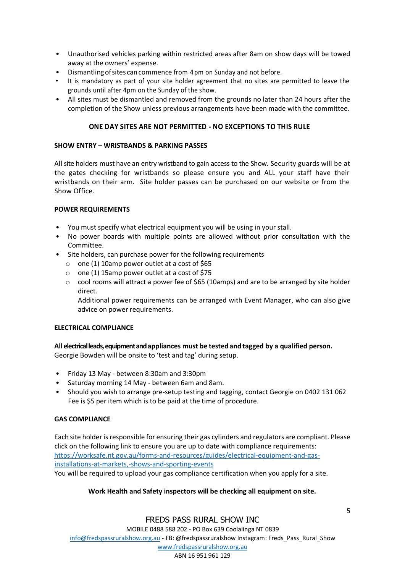- Unauthorised vehicles parking within restricted areas after 8am on show days will be towed away at the owners' expense.
- Dismantlingofsites cancommence from 4pm on Sunday and not before.
- It is mandatory as part of your site holder agreement that no sites are permitted to leave the grounds until after 4pm on the Sunday of the show.
- All sites must be dismantled and removed from the grounds no later than 24 hours after the completion of the Show unless previous arrangements have been made with the committee.

## **ONE DAY SITES ARE NOT PERMITTED - NO EXCEPTIONS TO THIS RULE**

## **SHOW ENTRY – WRISTBANDS & PARKING PASSES**

All site holders must have an entry wristband to gain access to the Show. Security guards will be at the gates checking for wristbands so please ensure you and ALL your staff have their wristbands on their arm. Site holder passes can be purchased on our website or from the Show Office.

## **POWER REQUIREMENTS**

- You must specify what electrical equipment you will be using in your stall.
- No power boards with multiple points are allowed without prior consultation with the Committee.
- Site holders, can purchase power for the following requirements
	- o one (1) 10amp power outlet at a cost of \$65
	- o one (1) 15amp power outlet at a cost of \$75
	- $\circ$  cool rooms will attract a power fee of \$65 (10amps) and are to be arranged by site holder direct.

Additional power requirements can be arranged with Event Manager, who can also give advice on power requirements.

## **ELECTRICAL COMPLIANCE**

## **All electrical leads, equipment and appliances must be tested and tagged by a qualified person.**

Georgie Bowden will be onsite to 'test and tag' during setup.

- Friday 13 May between 8:30am and 3:30pm
- Saturday morning 14 May between 6am and 8am.
- Should you wish to arrange pre-setup testing and tagging, contact Georgie on 0402 131 062 Fee is \$5 per item which is to be paid at the time of procedure.

## **GAS COMPLIANCE**

Each site holder is responsible for ensuring their gas cylinders and regulators are compliant. Please click on the following link to ensure you are up to date with compliance requirements: [https://worksafe.nt.gov.au/forms-and-resources/guides/electrical-equipment-and-gas](https://worksafe.nt.gov.au/forms-and-resources/guides/electrical-equipment-and-gas-installations-at-markets,-shows-and-sporting-events)[installations-at-markets,-shows-and-sporting-events](https://worksafe.nt.gov.au/forms-and-resources/guides/electrical-equipment-and-gas-installations-at-markets,-shows-and-sporting-events) You will be required to upload your gas compliance certification when you apply for a site.

## **Work Health and Safety inspectors will be checking all equipment on site.**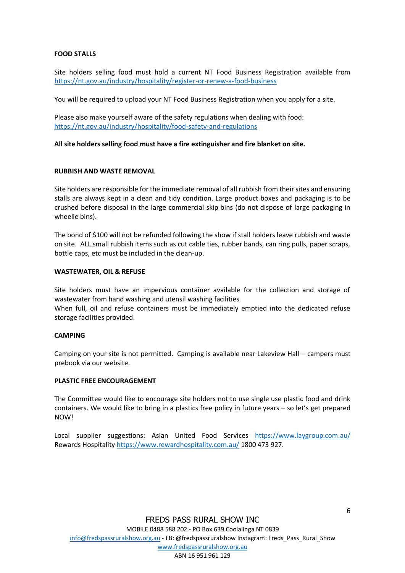## **FOOD STALLS**

Site holders selling food must hold a current NT Food Business Registration available from <https://nt.gov.au/industry/hospitality/register-or-renew-a-food-business>

You will be required to upload your NT Food Business Registration when you apply for a site.

Please also make yourself aware of the safety regulations when dealing with food: <https://nt.gov.au/industry/hospitality/food-safety-and-regulations>

## **All site holders selling food must have a fire extinguisher and fire blanket on site.**

## **RUBBISH AND WASTE REMOVAL**

Site holders are responsible for the immediate removal of all rubbish from their sites and ensuring stalls are always kept in a clean and tidy condition. Large product boxes and packaging is to be crushed before disposal in the large commercial skip bins (do not dispose of large packaging in wheelie bins).

The bond of \$100 will not be refunded following the show if stall holders leave rubbish and waste on site. ALL small rubbish items such as cut cable ties, rubber bands, can ring pulls, paper scraps, bottle caps, etc must be included in the clean-up.

## **WASTEWATER, OIL & REFUSE**

Site holders must have an impervious container available for the collection and storage of wastewater from hand washing and utensil washing facilities.

When full, oil and refuse containers must be immediately emptied into the dedicated refuse storage facilities provided.

## **CAMPING**

Camping on your site is not permitted. Camping is available near Lakeview Hall – campers must prebook via our website.

## **PLASTIC FREE ENCOURAGEMENT**

The Committee would like to encourage site holders not to use single use plastic food and drink containers. We would like to bring in a plastics free policy in future years – so let's get prepared NOW!

Local supplier suggestions: Asian United Food Services <https://www.laygroup.com.au/> Rewards Hospitalit[y https://www.rewardhospitality.com.au/](https://www.rewardhospitality.com.au/) 1800 473 927.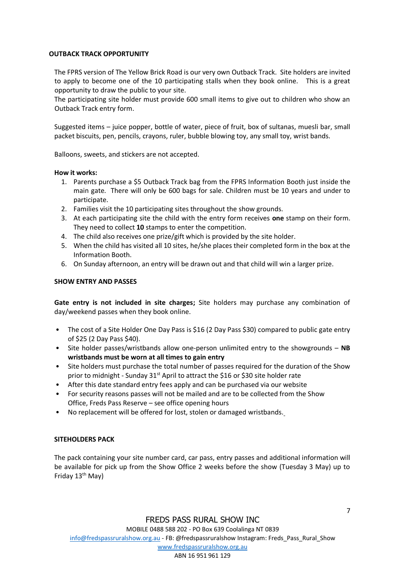## **OUTBACK TRACK OPPORTUNITY**

The FPRS version of The Yellow Brick Road is our very own Outback Track. Site holders are invited to apply to become one of the 10 participating stalls when they book online. This is a great opportunity to draw the public to your site.

The participating site holder must provide 600 small items to give out to children who show an Outback Track entry form.

Suggested items – juice popper, bottle of water, piece of fruit, box of sultanas, muesli bar, small packet biscuits, pen, pencils, crayons, ruler, bubble blowing toy, any small toy, wrist bands.

Balloons, sweets, and stickers are not accepted.

## **How it works:**

- 1. Parents purchase a \$5 Outback Track bag from the FPRS Information Booth just inside the main gate. There will only be 600 bags for sale. Children must be 10 years and under to participate.
- 2. Families visit the 10 participating sites throughout the show grounds.
- 3. At each participating site the child with the entry form receives **one** stamp on their form. They need to collect **10** stamps to enter the competition.
- 4. The child also receives one prize/gift which is provided by the site holder.
- 5. When the child has visited all 10 sites, he/she places their completed form in the box at the Information Booth.
- 6. On Sunday afternoon, an entry will be drawn out and that child will win a larger prize.

## **SHOW ENTRY AND PASSES**

**Gate entry is not included in site charges;** Site holders may purchase any combination of day/weekend passes when they book online.

- The cost of a Site Holder One Day Pass is \$16 (2 Day Pass \$30) compared to public gate entry of \$25 (2 Day Pass \$40).
- Site holder passes/wristbands allow one-person unlimited entry to the showgrounds **NB wristbands must be worn at all times to gain entry**
- Site holders must purchase the total number of passes required for the duration of the Show prior to midnight - Sunday  $31<sup>st</sup>$  April to attract the \$16 or \$30 site holder rate
- After this date standard entry fees apply and can be purchased via our website
- For security reasons passes will not be mailed and are to be collected from the Show Office, Freds Pass Reserve – see office opening hours
- No replacement will be offered for lost, stolen or damaged wristbands.

## **SITEHOLDERS PACK**

The pack containing your site number card, car pass, entry passes and additional information will be available for pick up from the Show Office 2 weeks before the show (Tuesday 3 May) up to Friday 13<sup>th</sup> May)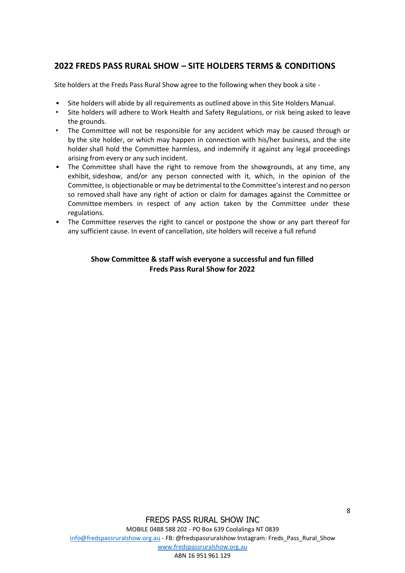## **2022 FREDS PASS RURAL SHOW – SITE HOLDERS TERMS & CONDITIONS**

Site holders at the Freds Pass Rural Show agree to the following when they book a site -

- Site holders will abide by all requirements as outlined above in this Site Holders Manual.
- Site holders will adhere to Work Health and Safety Regulations, or risk being asked to leave the grounds.
- The Committee will not be responsible for any accident which may be caused through or by the site holder, or which may happen in connection with his/her business, and the site holder shall hold the Committee harmless, and indemnify it against any legal proceedings arising from every or any such incident.
- The Committee shall have the right to remove from the showgrounds, at any time, any exhibit, sideshow, and/or any person connected with it, which, in the opinion of the Committee, is objectionable or may be detrimental to the Committee's interest and no person so removed shall have any right of action or claim for damages against the Committee or Committee members in respect of any action taken by the Committee under these regulations.
- The Committee reserves the right to cancel or postpone the show or any part thereof for any sufficient cause. In event of cancellation, site holders will receive a full refund

## **Show Committee & staff wish everyone a successful and fun filled Freds Pass Rural Show for 2022**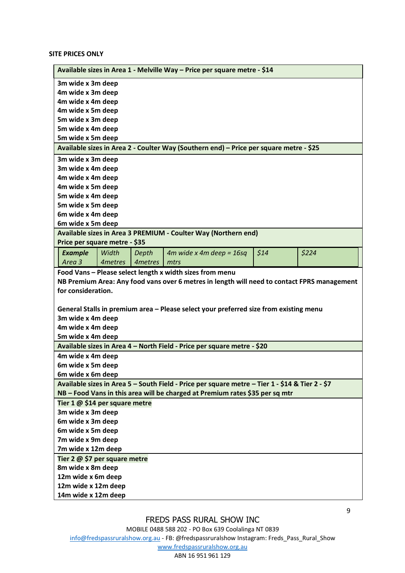**SITE PRICES ONLY**

|                                                                                                 | Available sizes in Area 1 - Melville Way - Price per square metre - \$14 |         |                                                                                             |      |       |  |
|-------------------------------------------------------------------------------------------------|--------------------------------------------------------------------------|---------|---------------------------------------------------------------------------------------------|------|-------|--|
| 3m wide x 3m deep                                                                               |                                                                          |         |                                                                                             |      |       |  |
| 4m wide x 3m deep                                                                               |                                                                          |         |                                                                                             |      |       |  |
| 4m wide x 4m deep                                                                               |                                                                          |         |                                                                                             |      |       |  |
| 4m wide x 5m deep                                                                               |                                                                          |         |                                                                                             |      |       |  |
| 5m wide x 3m deep                                                                               |                                                                          |         |                                                                                             |      |       |  |
| 5m wide x 4m deep                                                                               |                                                                          |         |                                                                                             |      |       |  |
| 5m wide x 5m deep                                                                               |                                                                          |         |                                                                                             |      |       |  |
| Available sizes in Area 2 - Coulter Way (Southern end) - Price per square metre - \$25          |                                                                          |         |                                                                                             |      |       |  |
|                                                                                                 | 3m wide x 3m deep                                                        |         |                                                                                             |      |       |  |
| 3m wide x 4m deep                                                                               |                                                                          |         |                                                                                             |      |       |  |
| 4m wide x 4m deep                                                                               |                                                                          |         |                                                                                             |      |       |  |
| 4m wide x 5m deep                                                                               |                                                                          |         |                                                                                             |      |       |  |
| 5m wide x 4m deep                                                                               |                                                                          |         |                                                                                             |      |       |  |
| 5m wide x 5m deep                                                                               |                                                                          |         |                                                                                             |      |       |  |
| 6m wide x 4m deep                                                                               |                                                                          |         |                                                                                             |      |       |  |
| 6m wide x 5m deep                                                                               |                                                                          |         |                                                                                             |      |       |  |
| Available sizes in Area 3 PREMIUM - Coulter Way (Northern end)                                  |                                                                          |         |                                                                                             |      |       |  |
| Price per square metre - \$35                                                                   |                                                                          |         |                                                                                             |      |       |  |
| <b>Example</b>                                                                                  | Width                                                                    | Depth   | $4m$ wide x $4m$ deep = 16sq                                                                | \$14 | \$224 |  |
| Area 3                                                                                          | 4metres                                                                  | 4metres | mtrs                                                                                        |      |       |  |
|                                                                                                 |                                                                          |         | Food Vans - Please select length x width sizes from menu                                    |      |       |  |
|                                                                                                 |                                                                          |         | NB Premium Area: Any food vans over 6 metres in length will need to contact FPRS management |      |       |  |
| for consideration.                                                                              |                                                                          |         |                                                                                             |      |       |  |
|                                                                                                 |                                                                          |         |                                                                                             |      |       |  |
| General Stalls in premium area - Please select your preferred size from existing menu           |                                                                          |         |                                                                                             |      |       |  |
| 3m wide x 4m deep                                                                               |                                                                          |         |                                                                                             |      |       |  |
| 4m wide x 4m deep                                                                               |                                                                          |         |                                                                                             |      |       |  |
| 5m wide x 4m deep                                                                               |                                                                          |         |                                                                                             |      |       |  |
| Available sizes in Area 4 - North Field - Price per square metre - \$20                         |                                                                          |         |                                                                                             |      |       |  |
| 4m wide x 4m deep                                                                               |                                                                          |         |                                                                                             |      |       |  |
| 6m wide x 5m deep                                                                               |                                                                          |         |                                                                                             |      |       |  |
| 6m wide x 6m deep                                                                               |                                                                          |         |                                                                                             |      |       |  |
| Available sizes in Area 5 - South Field - Price per square metre - Tier 1 - \$14 & Tier 2 - \$7 |                                                                          |         |                                                                                             |      |       |  |
| NB - Food Vans in this area will be charged at Premium rates \$35 per sq mtr                    |                                                                          |         |                                                                                             |      |       |  |
| Tier 1 @ \$14 per square metre                                                                  |                                                                          |         |                                                                                             |      |       |  |
| 3m wide x 3m deep                                                                               |                                                                          |         |                                                                                             |      |       |  |
| 6m wide x 3m deep                                                                               |                                                                          |         |                                                                                             |      |       |  |
| 6m wide x 5m deep                                                                               |                                                                          |         |                                                                                             |      |       |  |
| 7m wide x 9m deep                                                                               |                                                                          |         |                                                                                             |      |       |  |
| 7m wide x 12m deep                                                                              |                                                                          |         |                                                                                             |      |       |  |
| Tier 2 @ \$7 per square metre                                                                   |                                                                          |         |                                                                                             |      |       |  |
| 8m wide x 8m deep                                                                               |                                                                          |         |                                                                                             |      |       |  |
| 12m wide x 6m deep                                                                              |                                                                          |         |                                                                                             |      |       |  |
| 12m wide x 12m deep                                                                             |                                                                          |         |                                                                                             |      |       |  |
| 14m wide x 12m deep                                                                             |                                                                          |         |                                                                                             |      |       |  |

MOBILE 0488 588 202 - PO Box 639 Coolalinga NT 0839

[info@fredspassruralshow.org.au](mailto:info@fredspassruralshow.org.au) - FB: @fredspassruralshow Instagram: Freds\_Pass\_Rural\_Show